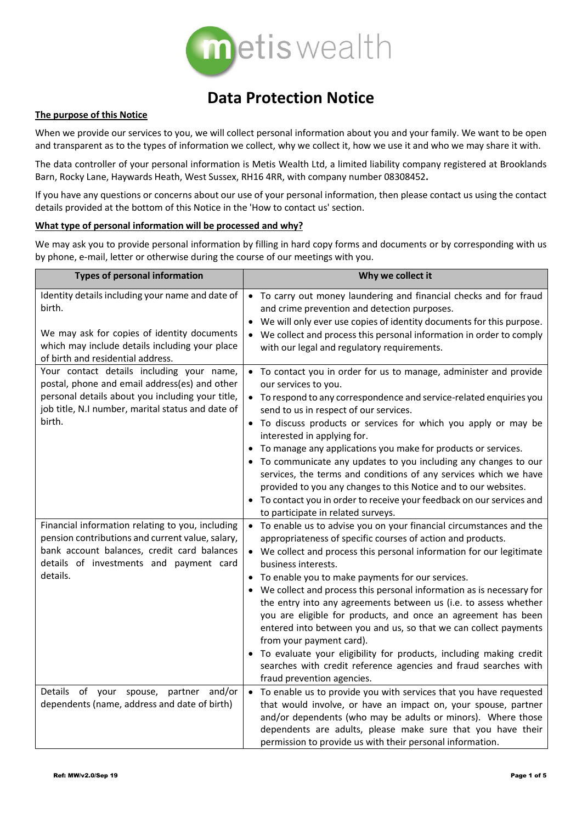

# **Data Protection Notice**

## **The purpose of this Notice**

When we provide our services to you, we will collect personal information about you and your family. We want to be open and transparent as to the types of information we collect, why we collect it, how we use it and who we may share it with.

The data controller of your personal information is Metis Wealth Ltd, a limited liability company registered at Brooklands Barn, Rocky Lane, Haywards Heath, West Sussex, RH16 4RR, with company number 08308452**.**

If you have any questions or concerns about our use of your personal information, then please contact us using the contact details provided at the bottom of this Notice in the 'How to contact us' section.

## **What type of personal information will be processed and why?**

We may ask you to provide personal information by filling in hard copy forms and documents or by corresponding with us by phone, e-mail, letter or otherwise during the course of our meetings with you.

| <b>Types of personal information</b>                                                                                                                                                                          | Why we collect it                                                                                                                                                                                                                                                                                                                                                                                                                                                                                                                                                                                                                                                                                                                                                                            |
|---------------------------------------------------------------------------------------------------------------------------------------------------------------------------------------------------------------|----------------------------------------------------------------------------------------------------------------------------------------------------------------------------------------------------------------------------------------------------------------------------------------------------------------------------------------------------------------------------------------------------------------------------------------------------------------------------------------------------------------------------------------------------------------------------------------------------------------------------------------------------------------------------------------------------------------------------------------------------------------------------------------------|
| Identity details including your name and date of<br>birth.<br>We may ask for copies of identity documents<br>which may include details including your place<br>of birth and residential address.              | • To carry out money laundering and financial checks and for fraud<br>and crime prevention and detection purposes.<br>We will only ever use copies of identity documents for this purpose.<br>We collect and process this personal information in order to comply<br>with our legal and regulatory requirements.                                                                                                                                                                                                                                                                                                                                                                                                                                                                             |
| Your contact details including your name,<br>postal, phone and email address(es) and other<br>personal details about you including your title,<br>job title, N.I number, marital status and date of<br>birth. | • To contact you in order for us to manage, administer and provide<br>our services to you.<br>• To respond to any correspondence and service-related enquiries you<br>send to us in respect of our services.<br>• To discuss products or services for which you apply or may be<br>interested in applying for.<br>To manage any applications you make for products or services.<br>• To communicate any updates to you including any changes to our<br>services, the terms and conditions of any services which we have<br>provided to you any changes to this Notice and to our websites.<br>• To contact you in order to receive your feedback on our services and<br>to participate in related surveys.                                                                                   |
| Financial information relating to you, including<br>pension contributions and current value, salary,<br>bank account balances, credit card balances<br>details of investments and payment card<br>details.    | • To enable us to advise you on your financial circumstances and the<br>appropriateness of specific courses of action and products.<br>• We collect and process this personal information for our legitimate<br>business interests.<br>• To enable you to make payments for our services.<br>• We collect and process this personal information as is necessary for<br>the entry into any agreements between us (i.e. to assess whether<br>you are eligible for products, and once an agreement has been<br>entered into between you and us, so that we can collect payments<br>from your payment card).<br>To evaluate your eligibility for products, including making credit<br>$\bullet$<br>searches with credit reference agencies and fraud searches with<br>fraud prevention agencies. |
| Details of your<br>and/or<br>spouse,<br>partner<br>dependents (name, address and date of birth)                                                                                                               | To enable us to provide you with services that you have requested<br>$\bullet$<br>that would involve, or have an impact on, your spouse, partner<br>and/or dependents (who may be adults or minors). Where those<br>dependents are adults, please make sure that you have their<br>permission to provide us with their personal information.                                                                                                                                                                                                                                                                                                                                                                                                                                                 |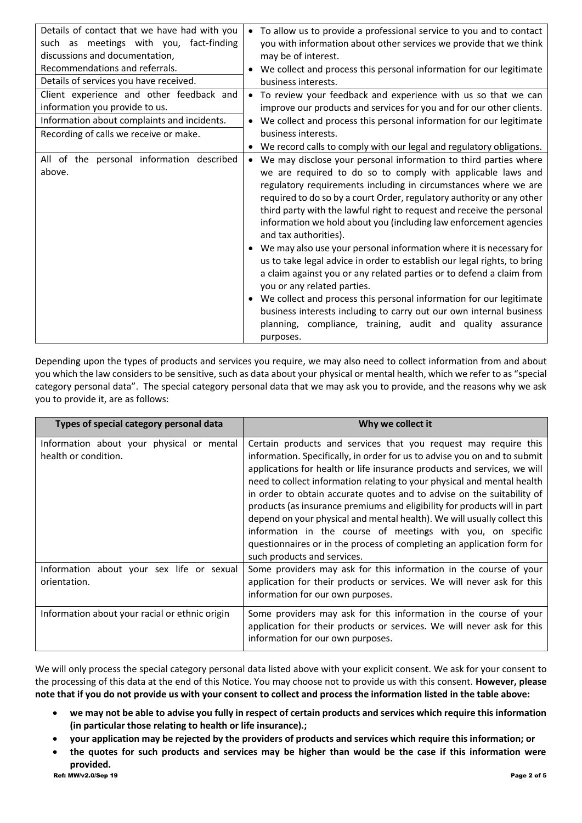| Details of contact that we have had with you<br>such as meetings with you, fact-finding<br>discussions and documentation,<br>Recommendations and referrals.<br>Details of services you have received. | To allow us to provide a professional service to you and to contact<br>$\bullet$<br>you with information about other services we provide that we think<br>may be of interest.<br>We collect and process this personal information for our legitimate<br>business interests.                                                                                                                                                                                                                                                                                                                                                                                                                                                                                                                                                                                                                                                                         |
|-------------------------------------------------------------------------------------------------------------------------------------------------------------------------------------------------------|-----------------------------------------------------------------------------------------------------------------------------------------------------------------------------------------------------------------------------------------------------------------------------------------------------------------------------------------------------------------------------------------------------------------------------------------------------------------------------------------------------------------------------------------------------------------------------------------------------------------------------------------------------------------------------------------------------------------------------------------------------------------------------------------------------------------------------------------------------------------------------------------------------------------------------------------------------|
| Client experience and other feedback and<br>information you provide to us.<br>Information about complaints and incidents.<br>Recording of calls we receive or make.                                   | To review your feedback and experience with us so that we can<br>$\bullet$<br>improve our products and services for you and for our other clients.<br>We collect and process this personal information for our legitimate<br>business interests.<br>We record calls to comply with our legal and regulatory obligations.                                                                                                                                                                                                                                                                                                                                                                                                                                                                                                                                                                                                                            |
| All of the personal information described<br>above.                                                                                                                                                   | We may disclose your personal information to third parties where<br>$\bullet$<br>we are required to do so to comply with applicable laws and<br>regulatory requirements including in circumstances where we are<br>required to do so by a court Order, regulatory authority or any other<br>third party with the lawful right to request and receive the personal<br>information we hold about you (including law enforcement agencies<br>and tax authorities).<br>We may also use your personal information where it is necessary for<br>us to take legal advice in order to establish our legal rights, to bring<br>a claim against you or any related parties or to defend a claim from<br>you or any related parties.<br>We collect and process this personal information for our legitimate<br>business interests including to carry out our own internal business<br>planning, compliance, training, audit and quality assurance<br>purposes. |

Depending upon the types of products and services you require, we may also need to collect information from and about you which the law considers to be sensitive, such as data about your physical or mental health, which we refer to as "special category personal data". The special category personal data that we may ask you to provide, and the reasons why we ask you to provide it, are as follows:

| Types of special category personal data                           | Why we collect it                                                                                                                                                                                                                                                                                                                                                                                                                                                                                                                                                                                                                                                                                              |
|-------------------------------------------------------------------|----------------------------------------------------------------------------------------------------------------------------------------------------------------------------------------------------------------------------------------------------------------------------------------------------------------------------------------------------------------------------------------------------------------------------------------------------------------------------------------------------------------------------------------------------------------------------------------------------------------------------------------------------------------------------------------------------------------|
| Information about your physical or mental<br>health or condition. | Certain products and services that you request may require this<br>information. Specifically, in order for us to advise you on and to submit<br>applications for health or life insurance products and services, we will<br>need to collect information relating to your physical and mental health<br>in order to obtain accurate quotes and to advise on the suitability of<br>products (as insurance premiums and eligibility for products will in part<br>depend on your physical and mental health). We will usually collect this<br>information in the course of meetings with you, on specific<br>questionnaires or in the process of completing an application form for<br>such products and services. |
| Information about your sex life or sexual<br>orientation.         | Some providers may ask for this information in the course of your<br>application for their products or services. We will never ask for this<br>information for our own purposes.                                                                                                                                                                                                                                                                                                                                                                                                                                                                                                                               |
| Information about your racial or ethnic origin                    | Some providers may ask for this information in the course of your<br>application for their products or services. We will never ask for this<br>information for our own purposes.                                                                                                                                                                                                                                                                                                                                                                                                                                                                                                                               |

We will only process the special category personal data listed above with your explicit consent. We ask for your consent to the processing of this data at the end of this Notice. You may choose not to provide us with this consent. **However, please note that if you do not provide us with your consent to collect and process the information listed in the table above:**

- **we may not be able to advise you fully in respect of certain products and services which require this information (in particular those relating to health or life insurance).;**
- **your application may be rejected by the providers of products and services which require this information; or**
- Ref: MW/v2.0/Sep 19 Page 2 of 5 • **the quotes for such products and services may be higher than would be the case if this information were provided.**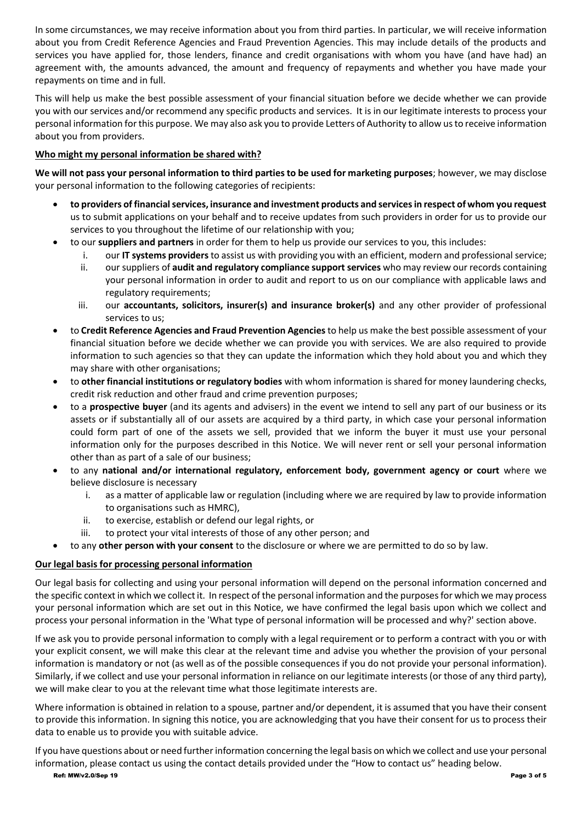In some circumstances, we may receive information about you from third parties. In particular, we will receive information about you from Credit Reference Agencies and Fraud Prevention Agencies. This may include details of the products and services you have applied for, those lenders, finance and credit organisations with whom you have (and have had) an agreement with, the amounts advanced, the amount and frequency of repayments and whether you have made your repayments on time and in full.

This will help us make the best possible assessment of your financial situation before we decide whether we can provide you with our services and/or recommend any specific products and services. It is in our legitimate interests to process your personal information for this purpose. We may also ask you to provide Letters of Authority to allow us to receive information about you from providers.

## **Who might my personal information be shared with?**

**We will not pass your personal information to third parties to be used for marketing purposes**; however, we may disclose your personal information to the following categories of recipients:

- **to providers of financial services, insurance and investment products and services in respect of whom you request** us to submit applications on your behalf and to receive updates from such providers in order for us to provide our services to you throughout the lifetime of our relationship with you;
- to our **suppliers and partners** in order for them to help us provide our services to you, this includes:
	- i. our **IT systems providers**to assist us with providing you with an efficient, modern and professional service;
	- ii. our suppliers of **audit and regulatory compliance support services** who may review our records containing your personal information in order to audit and report to us on our compliance with applicable laws and regulatory requirements;
	- iii. our **accountants, solicitors, insurer(s) and insurance broker(s)** and any other provider of professional services to us;
- to **Credit Reference Agencies and Fraud Prevention Agencies**to help us make the best possible assessment of your financial situation before we decide whether we can provide you with services. We are also required to provide information to such agencies so that they can update the information which they hold about you and which they may share with other organisations;
- to **other financial institutions or regulatory bodies** with whom information is shared for money laundering checks, credit risk reduction and other fraud and crime prevention purposes;
- to a **prospective buyer** (and its agents and advisers) in the event we intend to sell any part of our business or its assets or if substantially all of our assets are acquired by a third party, in which case your personal information could form part of one of the assets we sell, provided that we inform the buyer it must use your personal information only for the purposes described in this Notice. We will never rent or sell your personal information other than as part of a sale of our business;
- to any **national and/or international regulatory, enforcement body, government agency or court** where we believe disclosure is necessary
	- i. as a matter of applicable law or regulation (including where we are required by law to provide information to organisations such as HMRC),
	- ii. to exercise, establish or defend our legal rights, or
	- iii. to protect your vital interests of those of any other person; and
- to any **other person with your consent** to the disclosure or where we are permitted to do so by law.

## **Our legal basis for processing personal information**

Our legal basis for collecting and using your personal information will depend on the personal information concerned and the specific context in which we collect it. In respect of the personal information and the purposes for which we may process your personal information which are set out in this Notice, we have confirmed the legal basis upon which we collect and process your personal information in the 'What type of personal information will be processed and why?' section above.

If we ask you to provide personal information to comply with a legal requirement or to perform a contract with you or with your explicit consent, we will make this clear at the relevant time and advise you whether the provision of your personal information is mandatory or not (as well as of the possible consequences if you do not provide your personal information). Similarly, if we collect and use your personal information in reliance on our legitimate interests (or those of any third party), we will make clear to you at the relevant time what those legitimate interests are.

Where information is obtained in relation to a spouse, partner and/or dependent, it is assumed that you have their consent to provide this information. In signing this notice, you are acknowledging that you have their consent for us to process their data to enable us to provide you with suitable advice.

If you have questions about or need further information concerning the legal basis on which we collect and use your personal information, please contact us using the contact details provided under the "How to contact us" heading below.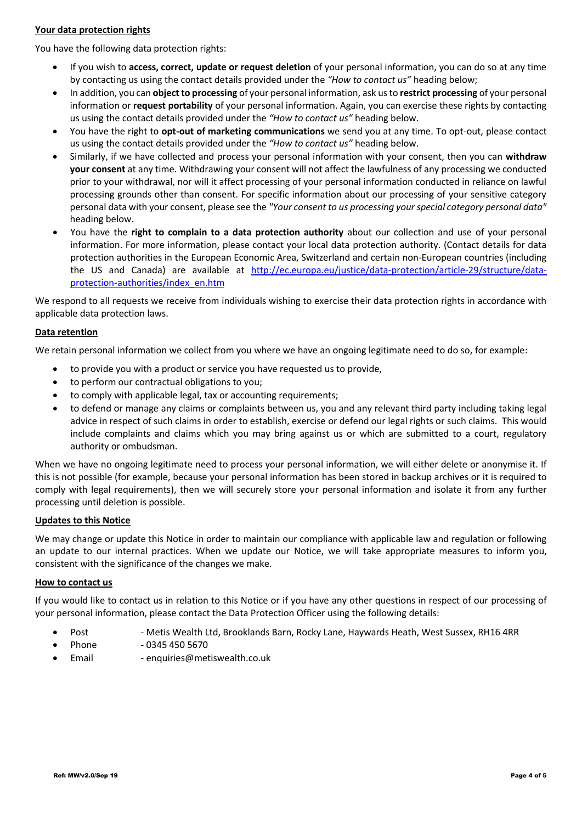## **Your data protection rights**

You have the following data protection rights:

- If you wish to **access, correct, update or request deletion** of your personal information, you can do so at any time by contacting us using the contact details provided under the *"How to contact us"* heading below;
- In addition, you can **object to processing** of your personal information, ask us to **restrict processing** of your personal information or **request portability** of your personal information. Again, you can exercise these rights by contacting us using the contact details provided under the *"How to contact us"* heading below.
- You have the right to **opt-out of marketing communications** we send you at any time. To opt-out, please contact us using the contact details provided under the *"How to contact us"* heading below.
- Similarly, if we have collected and process your personal information with your consent, then you can **withdraw your consent** at any time. Withdrawing your consent will not affect the lawfulness of any processing we conducted prior to your withdrawal, nor will it affect processing of your personal information conducted in reliance on lawful processing grounds other than consent. For specific information about our processing of your sensitive category personal data with your consent, please see the *"Your consent to us processing your special category personal data"*  heading below.
- You have the **right to complain to a data protection authority** about our collection and use of your personal information. For more information, please contact your local data protection authority. (Contact details for data protection authorities in the European Economic Area, Switzerland and certain non-European countries (including the US and Canada) are available at [http://ec.europa.eu/justice/data-protection/article-29/structure/data](http://ec.europa.eu/justice/data-protection/article-29/structure/data-protection-authorities/index_en.htm)[protection-authorities/index\\_en.htm](http://ec.europa.eu/justice/data-protection/article-29/structure/data-protection-authorities/index_en.htm)

We respond to all requests we receive from individuals wishing to exercise their data protection rights in accordance with applicable data protection laws.

## **Data retention**

We retain personal information we collect from you where we have an ongoing legitimate need to do so, for example:

- to provide you with a product or service you have requested us to provide,
- to perform our contractual obligations to you;
- to comply with applicable legal, tax or accounting requirements;
- to defend or manage any claims or complaints between us, you and any relevant third party including taking legal advice in respect of such claims in order to establish, exercise or defend our legal rights or such claims. This would include complaints and claims which you may bring against us or which are submitted to a court, regulatory authority or ombudsman.

When we have no ongoing legitimate need to process your personal information, we will either delete or anonymise it. If this is not possible (for example, because your personal information has been stored in backup archives or it is required to comply with legal requirements), then we will securely store your personal information and isolate it from any further processing until deletion is possible.

### **Updates to this Notice**

We may change or update this Notice in order to maintain our compliance with applicable law and regulation or following an update to our internal practices. When we update our Notice, we will take appropriate measures to inform you, consistent with the significance of the changes we make.

### **How to contact us**

If you would like to contact us in relation to this Notice or if you have any other questions in respect of our processing of your personal information, please contact the Data Protection Officer using the following details:

- Post Metis Wealth Ltd, Brooklands Barn, Rocky Lane, Haywards Heath, West Sussex, RH16 4RR
	- Phone 0345 450 5670
- Email enquiries@metiswealth.co.uk